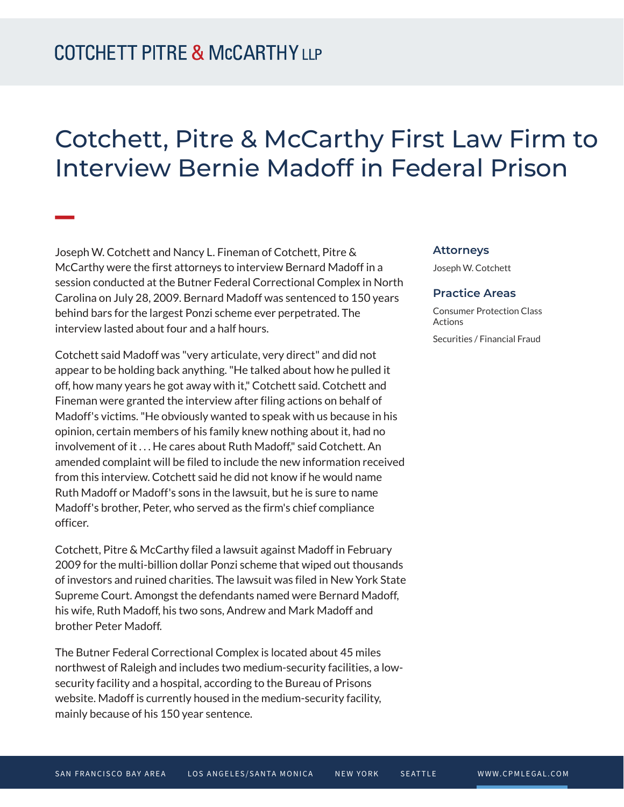## Cotchett, Pitre & McCarthy First Law Firm to Interview Bernie Madoff in Federal Prison

Joseph W. Cotchett and Nancy L. Fineman of Cotchett, Pitre & McCarthy were the first attorneys to interview Bernard Madoff in a session conducted at the Butner Federal Correctional Complex in North Carolina on July 28, 2009. Bernard Madoff was sentenced to 150 years behind bars for the largest Ponzi scheme ever perpetrated. The interview lasted about four and a half hours.

Cotchett said Madoff was "very articulate, very direct" and did not appear to be holding back anything. "He talked about how he pulled it off, how many years he got away with it," Cotchett said. Cotchett and Fineman were granted the interview after filing actions on behalf of Madoff's victims. "He obviously wanted to speak with us because in his opinion, certain members of his family knew nothing about it, had no involvement of it . . . He cares about Ruth Madoff," said Cotchett. An amended complaint will be filed to include the new information received from this interview. Cotchett said he did not know if he would name Ruth Madoff or Madoff's sons in the lawsuit, but he is sure to name Madoff's brother, Peter, who served as the firm's chief compliance officer.

Cotchett, Pitre & McCarthy filed a lawsuit against Madoff in February 2009 for the multi-billion dollar Ponzi scheme that wiped out thousands of investors and ruined charities. The lawsuit was filed in New York State Supreme Court. Amongst the defendants named were Bernard Madoff, his wife, Ruth Madoff, his two sons, Andrew and Mark Madoff and brother Peter Madoff.

The Butner Federal Correctional Complex is located about 45 miles northwest of Raleigh and includes two medium-security facilities, a lowsecurity facility and a hospital, according to the Bureau of Prisons website. Madoff is currently housed in the medium-security facility, mainly because of his 150 year sentence.

## **Attorneys**

Joseph W. Cotchett

## **Practice Areas**

Consumer Protection Class Actions Securities / Financial Fraud